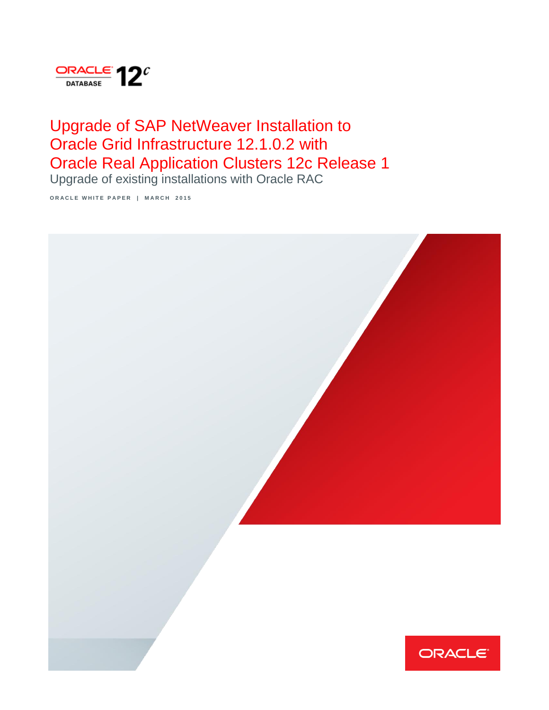

# Upgrade of SAP NetWeaver Installation to Oracle Grid Infrastructure 12.1.0.2 with Oracle Real Application Clusters 12c Release 1

Upgrade of existing installations with Oracle RAC

**O R A C L E W H I T E P A P E R | M A R C H 2 0 1 5**

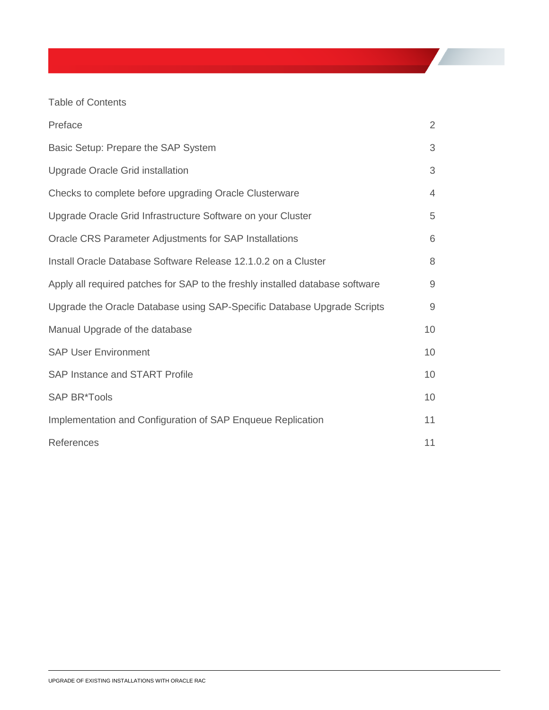Table of Contents

| Preface                                                                       | $\overline{2}$ |
|-------------------------------------------------------------------------------|----------------|
| Basic Setup: Prepare the SAP System                                           | 3              |
| Upgrade Oracle Grid installation                                              | 3              |
| Checks to complete before upgrading Oracle Clusterware                        | $\overline{4}$ |
| Upgrade Oracle Grid Infrastructure Software on your Cluster                   | 5              |
| Oracle CRS Parameter Adjustments for SAP Installations                        | 6              |
| Install Oracle Database Software Release 12.1.0.2 on a Cluster                | 8              |
| Apply all required patches for SAP to the freshly installed database software | $9\,$          |
| Upgrade the Oracle Database using SAP-Specific Database Upgrade Scripts       | 9              |
| Manual Upgrade of the database                                                | 10             |
| <b>SAP User Environment</b>                                                   | 10             |
| <b>SAP Instance and START Profile</b>                                         | 10             |
| <b>SAP BR*Tools</b>                                                           | 10             |
| Implementation and Configuration of SAP Enqueue Replication                   | 11             |
| References                                                                    | 11             |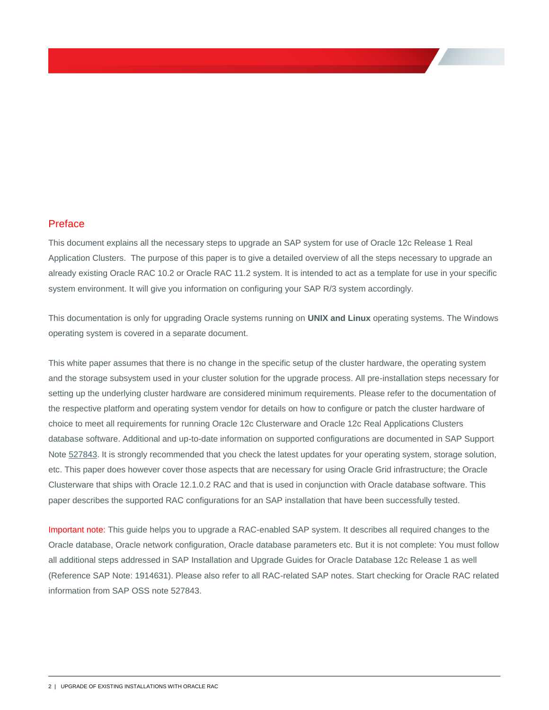### <span id="page-2-0"></span>Preface

This document explains all the necessary steps to upgrade an SAP system for use of Oracle 12c Release 1 Real Application Clusters. The purpose of this paper is to give a detailed overview of all the steps necessary to upgrade an already existing Oracle RAC 10.2 or Oracle RAC 11.2 system. It is intended to act as a template for use in your specific system environment. It will give you information on configuring your SAP R/3 system accordingly.

This documentation is only for upgrading Oracle systems running on **UNIX and Linux** operating systems. The Windows operating system is covered in a separate document.

This white paper assumes that there is no change in the specific setup of the cluster hardware, the operating system and the storage subsystem used in your cluster solution for the upgrade process. All pre-installation steps necessary for setting up the underlying cluster hardware are considered minimum requirements. Please refer to the documentation of the respective platform and operating system vendor for details on how to configure or patch the cluster hardware of choice to meet all requirements for running Oracle 12c Clusterware and Oracle 12c Real Applications Clusters database software. Additional and up-to-date information on supported configurations are documented in SAP Support Not[e 527843.](http://service.sap.com/sap/support/notes/527843) It is strongly recommended that you check the latest updates for your operating system, storage solution, etc. This paper does however cover those aspects that are necessary for using Oracle Grid infrastructure; the Oracle Clusterware that ships with Oracle 12.1.0.2 RAC and that is used in conjunction with Oracle database software. This paper describes the supported RAC configurations for an SAP installation that have been successfully tested.

Important note: This guide helps you to upgrade a RAC-enabled SAP system. It describes all required changes to the Oracle database, Oracle network configuration, Oracle database parameters etc. But it is not complete: You must follow all additional steps addressed in SAP Installation and Upgrade Guides for Oracle Database 12c Release 1 as well (Reference SAP Note: 1914631). Please also refer to all RAC-related SAP notes. Start checking for Oracle RAC related information from SAP OSS note 527843.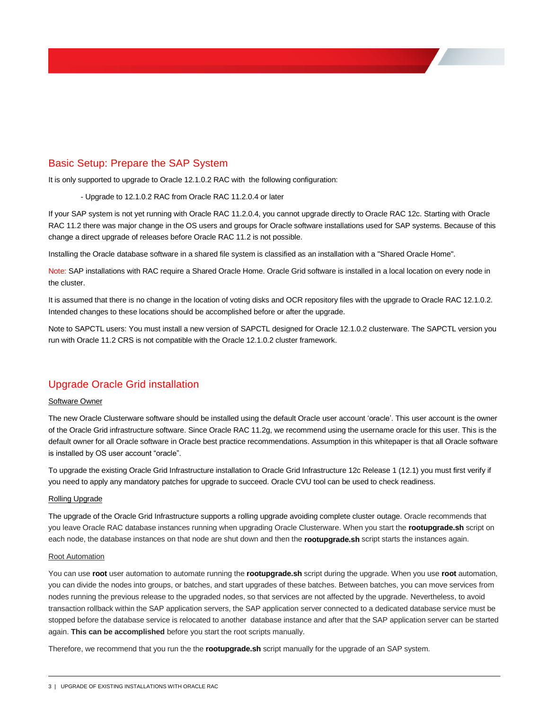# <span id="page-3-0"></span>Basic Setup: Prepare the SAP System

It is only supported to upgrade to Oracle 12.1.0.2 RAC with the following configuration:

- Upgrade to 12.1.0.2 RAC from Oracle RAC 11.2.0.4 or later

If your SAP system is not yet running with Oracle RAC 11.2.0.4, you cannot upgrade directly to Oracle RAC 12c. Starting with Oracle RAC 11.2 there was major change in the OS users and groups for Oracle software installations used for SAP systems. Because of this change a direct upgrade of releases before Oracle RAC 11.2 is not possible.

Installing the Oracle database software in a shared file system is classified as an installation with a "Shared Oracle Home".

Note: SAP installations with RAC require a Shared Oracle Home. Oracle Grid software is installed in a local location on every node in the cluster.

It is assumed that there is no change in the location of voting disks and OCR repository files with the upgrade to Oracle RAC 12.1.0.2. Intended changes to these locations should be accomplished before or after the upgrade.

Note to SAPCTL users: You must install a new version of SAPCTL designed for Oracle 12.1.0.2 clusterware. The SAPCTL version you run with Oracle 11.2 CRS is not compatible with the Oracle 12.1.0.2 cluster framework.

# <span id="page-3-1"></span>Upgrade Oracle Grid installation

### Software Owner

The new Oracle Clusterware software should be installed using the default Oracle user account 'oracle'. This user account is the owner of the Oracle Grid infrastructure software. Since Oracle RAC 11.2g, we recommend using the username oracle for this user. This is the default owner for all Oracle software in Oracle best practice recommendations. Assumption in this whitepaper is that all Oracle software is installed by OS user account "oracle".

To upgrade the existing Oracle Grid Infrastructure installation to Oracle Grid Infrastructure 12c Release 1 (12.1) you must first verify if you need to apply any mandatory patches for upgrade to succeed. Oracle CVU tool can be used to check readiness.

#### Rolling Upgrade

The upgrade of the Oracle Grid Infrastructure supports a rolling upgrade avoiding complete cluster outage. Oracle recommends that you leave Oracle RAC database instances running when upgrading Oracle Clusterware. When you start the **rootupgrade.sh** script on each node, the database instances on that node are shut down and then the **rootupgrade.sh** script starts the instances again.

### Root Automation

You can use **root** user automation to automate running the **rootupgrade.sh** script during the upgrade. When you use **root** automation, you can divide the nodes into groups, or batches, and start upgrades of these batches. Between batches, you can move services from nodes running the previous release to the upgraded nodes, so that services are not affected by the upgrade. Nevertheless, to avoid transaction rollback within the SAP application servers, the SAP application server connected to a dedicated database service must be stopped before the database service is relocated to another database instance and after that the SAP application server can be started again. **This can be accomplished** before you start the root scripts manually.

Therefore, we recommend that you run the the **rootupgrade.sh** script manually for the upgrade of an SAP system.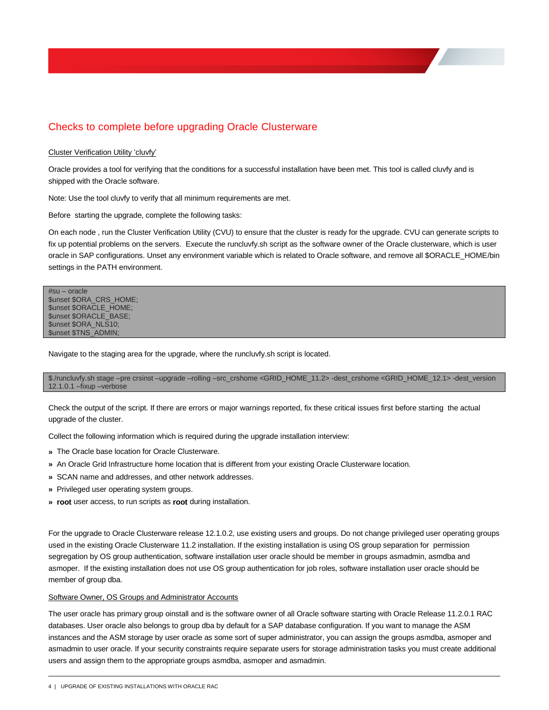# <span id="page-4-0"></span>Checks to complete before upgrading Oracle Clusterware

### Cluster Verification Utility 'cluvfy'

Oracle provides a tool for verifying that the conditions for a successful installation have been met. This tool is called cluvfy and is shipped with the Oracle software.

Note: Use the tool cluvfy to verify that all minimum requirements are met.

Before starting the upgrade, complete the following tasks:

On each node , run the Cluster Verification Utility (CVU) to ensure that the cluster is ready for the upgrade. CVU can generate scripts to fix up potential problems on the servers. Execute the runcluvfy.sh script as the software owner of the Oracle clusterware, which is user oracle in SAP configurations. Unset any environment variable which is related to Oracle software, and remove all \$ORACLE\_HOME/bin settings in the PATH environment.

#su – oracle \$unset \$ORA\_CRS\_HOME; \$unset \$ORACLE\_HOME; \$unset \$ORACLE\_BASE; \$unset \$ORA\_NLS10; \$unset \$TNS\_ADMIN;

Navigate to the staging area for the upgrade, where the runcluvfy.sh script is located.

\$./runcluvfy.sh stage –pre crsinst –upgrade –rolling –src\_crshome <GRID\_HOME\_11.2> -dest\_crshome <GRID\_HOME\_12.1> -dest\_version 12.1.0.1 –fixup –verbose

Check the output of the script. If there are errors or major warnings reported, fix these critical issues first before starting the actual upgrade of the cluster.

Collect the following information which is required during the upgrade installation interview:

- **»** The Oracle base location for Oracle Clusterware.
- **»** An Oracle Grid Infrastructure home location that is different from your existing Oracle Clusterware location.
- **»** SCAN name and addresses, and other network addresses.
- **»** Privileged user operating system groups.
- **» root** user access, to run scripts as **root** during installation.

For the upgrade to Oracle Clusterware release 12.1.0.2, use existing users and groups. Do not change privileged user operating groups used in the existing Oracle Clusterware 11.2 installation. If the existing installation is using OS group separation for permission segregation by OS group authentication, software installation user oracle should be member in groups asmadmin, asmdba and asmoper. If the existing installation does not use OS group authentication for job roles, software installation user oracle should be member of group dba.

#### Software Owner, OS Groups and Administrator Accounts

The user oracle has primary group oinstall and is the software owner of all Oracle software starting with Oracle Release 11.2.0.1 RAC databases. User oracle also belongs to group dba by default for a SAP database configuration. If you want to manage the ASM instances and the ASM storage by user oracle as some sort of super administrator, you can assign the groups asmdba, asmoper and asmadmin to user oracle. If your security constraints require separate users for storage administration tasks you must create additional users and assign them to the appropriate groups asmdba, asmoper and asmadmin.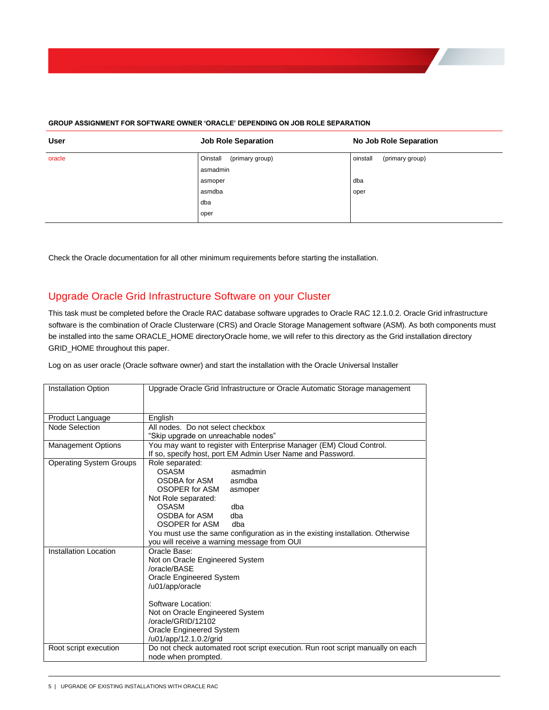| <b>User</b> | <b>Job Role Separation</b>  | <b>No Job Role Separation</b> |
|-------------|-----------------------------|-------------------------------|
| oracle      | Oinstall<br>(primary group) | oinstall<br>(primary group)   |
|             | asmadmin                    |                               |
|             | asmoper                     | dba                           |
|             | asmdba                      | oper                          |
|             | dba                         |                               |
|             | oper                        |                               |

### **GROUP ASSIGNMENT FOR SOFTWARE OWNER 'ORACLE' DEPENDING ON JOB ROLE SEPARATION**

Check the Oracle documentation for all other minimum requirements before starting the installation.

# <span id="page-5-0"></span>Upgrade Oracle Grid Infrastructure Software on your Cluster

This task must be completed before the Oracle RAC database software upgrades to Oracle RAC 12.1.0.2. Oracle Grid infrastructure software is the combination of Oracle Clusterware (CRS) and Oracle Storage Management software (ASM). As both components must be installed into the same ORACLE\_HOME directoryOracle home, we will refer to this directory as the Grid installation directory GRID\_HOME throughout this paper.

Log on as user oracle (Oracle software owner) and start the installation with the Oracle Universal Installer

| <b>Installation Option</b>     | Upgrade Oracle Grid Infrastructure or Oracle Automatic Storage management                             |
|--------------------------------|-------------------------------------------------------------------------------------------------------|
| Product Language               | English                                                                                               |
| Node Selection                 | All nodes. Do not select checkbox                                                                     |
|                                | "Skip upgrade on unreachable nodes"                                                                   |
| <b>Management Options</b>      | You may want to register with Enterprise Manager (EM) Cloud Control.                                  |
|                                | If so, specify host, port EM Admin User Name and Password.                                            |
| <b>Operating System Groups</b> | Role separated:                                                                                       |
|                                | <b>OSASM</b><br>asmadmin                                                                              |
|                                | OSDBA for ASM<br>asmdba                                                                               |
|                                | OSOPER for ASM<br>asmoper                                                                             |
|                                | Not Role separated:                                                                                   |
|                                | <b>OSASM</b><br>dba                                                                                   |
|                                | OSDBA for ASM<br>dha                                                                                  |
|                                | OSOPER for ASM<br>dha                                                                                 |
|                                | You must use the same configuration as in the existing installation. Otherwise                        |
| Installation Location          | you will receive a warning message from OUI<br>Oracle Base:                                           |
|                                |                                                                                                       |
|                                | Not on Oracle Engineered System<br>/oracle/BASE                                                       |
|                                | Oracle Engineered System                                                                              |
|                                | /u01/app/oracle                                                                                       |
|                                |                                                                                                       |
|                                | Software Location:                                                                                    |
|                                | Not on Oracle Engineered System                                                                       |
|                                | /oracle/GRID/12102                                                                                    |
|                                | Oracle Engineered System                                                                              |
|                                | /u01/app/12.1.0.2/grid                                                                                |
| Root script execution          | Do not check automated root script execution. Run root script manually on each<br>node when prompted. |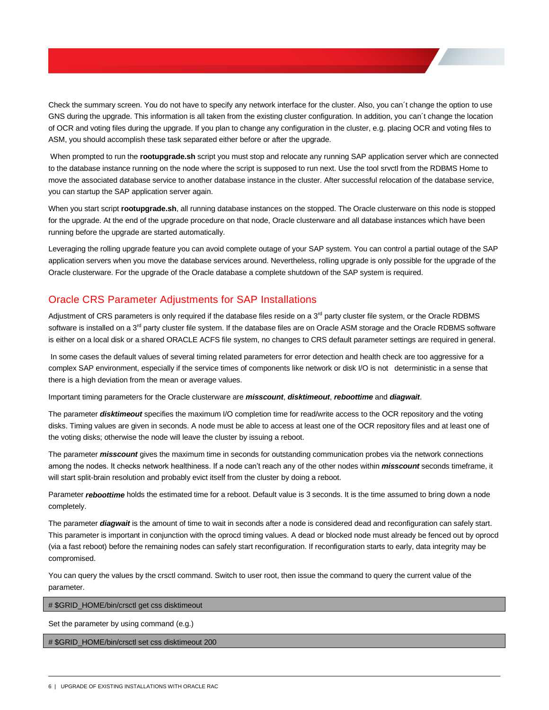Check the summary screen. You do not have to specify any network interface for the cluster. Also, you can´t change the option to use GNS during the upgrade. This information is all taken from the existing cluster configuration. In addition, you can´t change the location of OCR and voting files during the upgrade. If you plan to change any configuration in the cluster, e.g. placing OCR and voting files to ASM, you should accomplish these task separated either before or after the upgrade.

When prompted to run the **rootupgrade.sh** script you must stop and relocate any running SAP application server which are connected to the database instance running on the node where the script is supposed to run next. Use the tool srvctl from the RDBMS Home to move the associated database service to another database instance in the cluster. After successful relocation of the database service, you can startup the SAP application server again.

When you start script **rootupgrade.sh**, all running database instances on the stopped. The Oracle clusterware on this node is stopped for the upgrade. At the end of the upgrade procedure on that node, Oracle clusterware and all database instances which have been running before the upgrade are started automatically.

Leveraging the rolling upgrade feature you can avoid complete outage of your SAP system. You can control a partial outage of the SAP application servers when you move the database services around. Nevertheless, rolling upgrade is only possible for the upgrade of the Oracle clusterware. For the upgrade of the Oracle database a complete shutdown of the SAP system is required.

# <span id="page-6-0"></span>Oracle CRS Parameter Adjustments for SAP Installations

Adjustment of CRS parameters is only required if the database files reside on a 3<sup>rd</sup> party cluster file system, or the Oracle RDBMS software is installed on a  $3^{rd}$  party cluster file system. If the database files are on Oracle ASM storage and the Oracle RDBMS software is either on a local disk or a shared ORACLE ACFS file system, no changes to CRS default parameter settings are required in general.

In some cases the default values of several timing related parameters for error detection and health check are too aggressive for a complex SAP environment, especially if the service times of components like network or disk I/O is not deterministic in a sense that there is a high deviation from the mean or average values.

Important timing parameters for the Oracle clusterware are *misscount*, *disktimeout*, *reboottime* and *diagwait*.

The parameter *disktimeout* specifies the maximum I/O completion time for read/write access to the OCR repository and the voting disks. Timing values are given in seconds. A node must be able to access at least one of the OCR repository files and at least one of the voting disks; otherwise the node will leave the cluster by issuing a reboot.

The parameter *misscount* gives the maximum time in seconds for outstanding communication probes via the network connections among the nodes. It checks network healthiness. If a node can't reach any of the other nodes within *misscount* seconds timeframe, it will start split-brain resolution and probably evict itself from the cluster by doing a reboot.

Parameter *reboottime* holds the estimated time for a reboot. Default value is 3 seconds. It is the time assumed to bring down a node completely.

The parameter *diagwait* is the amount of time to wait in seconds after a node is considered dead and reconfiguration can safely start. This parameter is important in conjunction with the oprocd timing values. A dead or blocked node must already be fenced out by oprocd (via a fast reboot) before the remaining nodes can safely start reconfiguration. If reconfiguration starts to early, data integrity may be compromised.

You can query the values by the crsctl command. Switch to user root, then issue the command to query the current value of the parameter.

# \$GRID\_HOME/bin/crsctl get css disktimeout

Set the parameter by using command (e.g.)

# \$GRID\_HOME/bin/crsctl set css disktimeout 200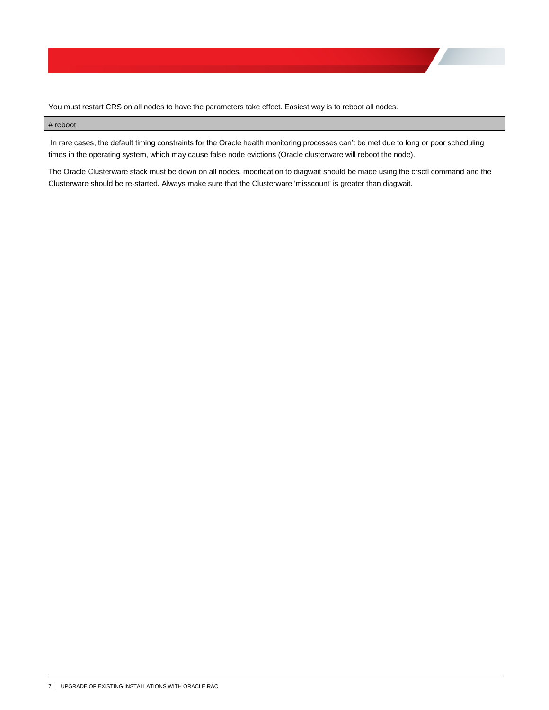You must restart CRS on all nodes to have the parameters take effect. Easiest way is to reboot all nodes.

#### # reboot

In rare cases, the default timing constraints for the Oracle health monitoring processes can't be met due to long or poor scheduling times in the operating system, which may cause false node evictions (Oracle clusterware will reboot the node).

The Oracle Clusterware stack must be down on all nodes, modification to diagwait should be made using the crsctl command and the Clusterware should be re-started. Always make sure that the Clusterware 'misscount' is greater than diagwait.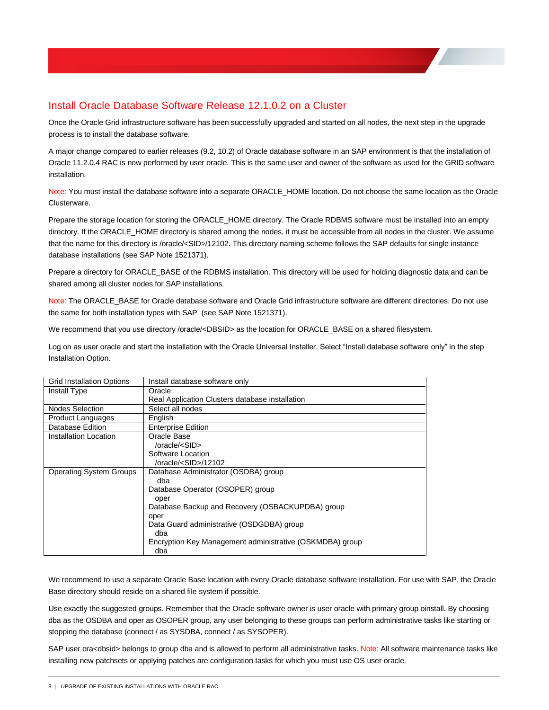# <span id="page-8-0"></span>Install Oracle Database Software Release 12.1.0.2 on a Cluster

Once the Oracle Grid infrastructure software has been successfully upgraded and started on all nodes, the next step in the upgrade process is to install the database software.

A major change compared to earlier releases (9.2, 10.2) of Oracle database software in an SAP environment is that the installation of Oracle 11.2.0.4 RAC is now performed by user oracle. This is the same user and owner of the software as used for the GRID software installation.

Note: You must install the database software into a separate ORACLE\_HOME location. Do not choose the same location as the Oracle Clusterware.

Prepare the storage location for storing the ORACLE\_HOME directory. The Oracle RDBMS software must be installed into an empty directory. If the ORACLE\_HOME directory is shared among the nodes, it must be accessible from all nodes in the cluster. We assume that the name for this directory is /oracle/<SID>/12102. This directory naming scheme follows the SAP defaults for single instance database installations (see SAP Note 1521371).

Prepare a directory for ORACLE\_BASE of the RDBMS installation. This directory will be used for holding diagnostic data and can be shared among all cluster nodes for SAP installations.

Note: The ORACLE\_BASE for Oracle database software and Oracle Grid infrastructure software are different directories. Do not use the same for both installation types with SAP (see SAP Note 1521371).

We recommend that you use directory /oracle/<DBSID> as the location for ORACLE\_BASE on a shared filesystem.

Log on as user oracle and start the installation with the Oracle Universal Installer. Select "Install database software only" in the step Installation Option.

| <b>Grid Installation Options</b> | Install database software only                           |
|----------------------------------|----------------------------------------------------------|
| Install Type                     | Oracle                                                   |
|                                  | Real Application Clusters database installation          |
| Nodes Selection                  | Select all nodes                                         |
| Product Languages                | English                                                  |
| <b>Database Edition</b>          | <b>Enterprise Edition</b>                                |
| Installation Location            | Oracle Base                                              |
|                                  | /oracle/ <sid></sid>                                     |
|                                  | Software Location                                        |
|                                  | /oracle/ <sid>/12102</sid>                               |
| <b>Operating System Groups</b>   | Database Administrator (OSDBA) group                     |
|                                  | dba                                                      |
|                                  | Database Operator (OSOPER) group                         |
|                                  | oper                                                     |
|                                  | Database Backup and Recovery (OSBACKUPDBA) group         |
|                                  | oper                                                     |
|                                  | Data Guard administrative (OSDGDBA) group                |
|                                  | dba                                                      |
|                                  | Encryption Key Management administrative (OSKMDBA) group |
|                                  | dba                                                      |

We recommend to use a separate Oracle Base location with every Oracle database software installation. For use with SAP, the Oracle Base directory should reside on a shared file system if possible.

Use exactly the suggested groups. Remember that the Oracle software owner is user oracle with primary group oinstall. By choosing dba as the OSDBA and oper as OSOPER group, any user belonging to these groups can perform administrative tasks like starting or stopping the database (connect / as SYSDBA, connect / as SYSOPER).

SAP user ora<dbsid> belongs to group dba and is allowed to perform all administrative tasks. Note: All software maintenance tasks like installing new patchsets or applying patches are configuration tasks for which you must use OS user oracle.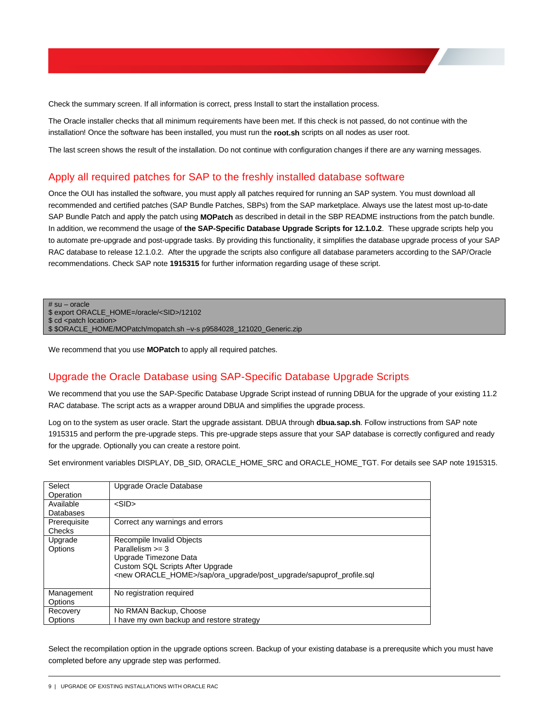Check the summary screen. If all information is correct, press Install to start the installation process.

The Oracle installer checks that all minimum requirements have been met. If this check is not passed, do not continue with the installation! Once the software has been installed, you must run the **root.sh** scripts on all nodes as user root.

The last screen shows the result of the installation. Do not continue with configuration changes if there are any warning messages.

### <span id="page-9-0"></span>Apply all required patches for SAP to the freshly installed database software

Once the OUI has installed the software, you must apply all patches required for running an SAP system. You must download all recommended and certified patches (SAP Bundle Patches, SBPs) from the SAP marketplace. Always use the latest most up-to-date SAP Bundle Patch and apply the patch using **MOPatch** as described in detail in the SBP README instructions from the patch bundle. In addition, we recommend the usage of **the SAP-Specific Database Upgrade Scripts for 12.1.0.2**. These upgrade scripts help you to automate pre-upgrade and post-upgrade tasks. By providing this functionality, it simplifies the database upgrade process of your SAP RAC database to release 12.1.0.2. After the upgrade the scripts also configure all database parameters according to the SAP/Oracle recommendations. Check SAP note **1915315** for further information regarding usage of these script.

# su – oracle \$ export ORACLE\_HOME=/oracle/<SID>/12102 \$ cd <patch location>

\$ \$ORACLE\_HOME/MOPatch/mopatch.sh –v-s p9584028\_121020\_Generic.zip

We recommend that you use **MOPatch** to apply all required patches.

### <span id="page-9-1"></span>Upgrade the Oracle Database using SAP-Specific Database Upgrade Scripts

We recommend that you use the SAP-Specific Database Upgrade Script instead of running DBUA for the upgrade of your existing 11.2 RAC database. The script acts as a wrapper around DBUA and simplifies the upgrade process.

Log on to the system as user oracle. Start the upgrade assistant. DBUA through **dbua.sap.sh**. Follow instructions from SAP note 1915315 and perform the pre-upgrade steps. This pre-upgrade steps assure that your SAP database is correctly configured and ready for the upgrade. Optionally you can create a restore point.

Set environment variables DISPLAY, DB\_SID, ORACLE\_HOME\_SRC and ORACLE\_HOME\_TGT. For details see SAP note 1915315.

| Select<br>Operation    | Upgrade Oracle Database                                                                                                                                                                      |
|------------------------|----------------------------------------------------------------------------------------------------------------------------------------------------------------------------------------------|
| Available<br>Databases | $<$ SID $>$                                                                                                                                                                                  |
| Prerequisite<br>Checks | Correct any warnings and errors                                                                                                                                                              |
| Upgrade<br>Options     | Recompile Invalid Objects<br>Parallelism $>=$ 3<br>Upgrade Timezone Data<br>Custom SQL Scripts After Upgrade<br><new oracle_home="">/sap/ora_upgrade/post_upgrade/sapuprof_profile.sql</new> |
| Management<br>Options  | No registration required                                                                                                                                                                     |
| Recovery<br>Options    | No RMAN Backup, Choose<br>I have my own backup and restore strategy                                                                                                                          |

Select the recompilation option in the upgrade options screen. Backup of your existing database is a prerequsite which you must have completed before any upgrade step was performed.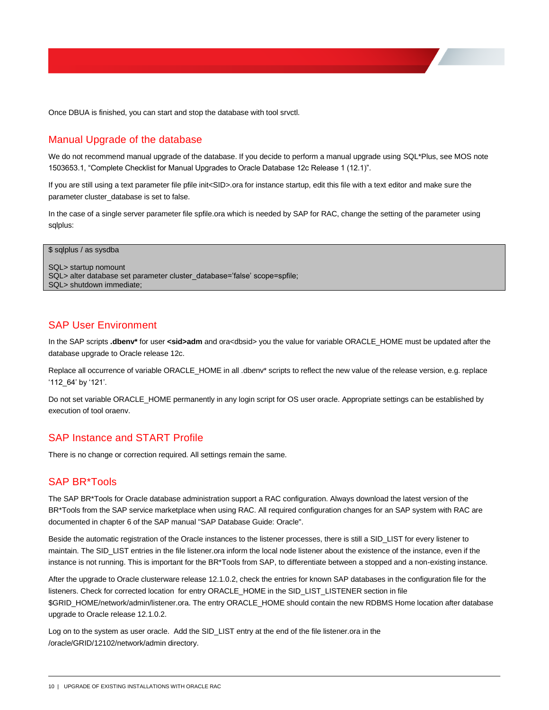Once DBUA is finished, you can start and stop the database with tool srvctl.

## <span id="page-10-0"></span>Manual Upgrade of the database

We do not recommend manual upgrade of the database. If you decide to perform a manual upgrade using SQL\*Plus, see MOS note 1503653.1, "Complete Checklist for Manual Upgrades to Oracle Database 12c Release 1 (12.1)".

If you are still using a text parameter file pfile init<SID>.ora for instance startup, edit this file with a text editor and make sure the parameter cluster\_database is set to false.

In the case of a single server parameter file spfile.ora which is needed by SAP for RAC, change the setting of the parameter using sqlplus:

### \$ sqlplus / as sysdba SQL> startup nomount SQL> alter database set parameter cluster\_database='false' scope=spfile; SQL> shutdown immediate;

# <span id="page-10-1"></span>SAP User Environment

In the SAP scripts **.dbenv**\* for user <sid>adm and ora<dbsid> you the value for variable ORACLE\_HOME must be updated after the database upgrade to Oracle release 12c.

Replace all occurrence of variable ORACLE\_HOME in all .dbenv\* scripts to reflect the new value of the release version, e.g. replace '112\_64' by '121'.

Do not set variable ORACLE\_HOME permanently in any login script for OS user oracle. Appropriate settings can be established by execution of tool oraenv.

### <span id="page-10-2"></span>SAP Instance and START Profile

There is no change or correction required. All settings remain the same.

### <span id="page-10-3"></span>SAP BR\*Tools

The SAP BR\*Tools for Oracle database administration support a RAC configuration. Always download the latest version of the BR\*Tools from the SAP service marketplace when using RAC. All required configuration changes for an SAP system with RAC are documented in chapter 6 of the SAP manual "SAP Database Guide: Oracle".

Beside the automatic registration of the Oracle instances to the listener processes, there is still a SID\_LIST for every listener to maintain. The SID\_LIST entries in the file listener.ora inform the local node listener about the existence of the instance, even if the instance is not running. This is important for the BR\*Tools from SAP, to differentiate between a stopped and a non-existing instance.

After the upgrade to Oracle clusterware release 12.1.0.2, check the entries for known SAP databases in the configuration file for the listeners. Check for corrected location for entry ORACLE\_HOME in the SID\_LIST\_LISTENER section in file \$GRID\_HOME/network/admin/listener.ora. The entry ORACLE\_HOME should contain the new RDBMS Home location after database upgrade to Oracle release 12.1.0.2.

Log on to the system as user oracle. Add the SID\_LIST entry at the end of the file listener.ora in the /oracle/GRID/12102/network/admin directory.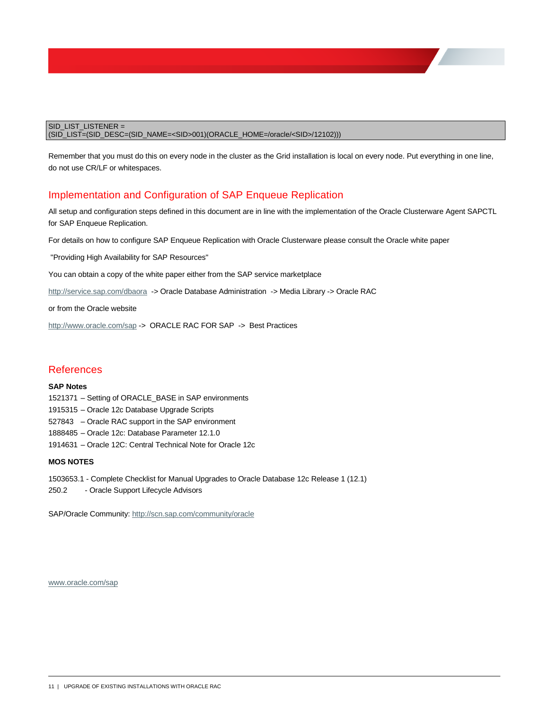#### SID\_LIST\_LISTENER = (SID\_LIST=(SID\_DESC=(SID\_NAME=<SID>001)(ORACLE\_HOME=/oracle/<SID>/12102)))

Remember that you must do this on every node in the cluster as the Grid installation is local on every node. Put everything in one line, do not use CR/LF or whitespaces.

# <span id="page-11-0"></span>Implementation and Configuration of SAP Enqueue Replication

All setup and configuration steps defined in this document are in line with the implementation of the Oracle Clusterware Agent SAPCTL for SAP Enqueue Replication.

For details on how to configure SAP Enqueue Replication with Oracle Clusterware please consult the Oracle white paper

"Providing High Availability for SAP Resources"

You can obtain a copy of the white paper either from the SAP service marketplace

<http://service.sap.com/dbaora>-> Oracle Database Administration -> Media Library -> Oracle RAC

or from the Oracle website

<http://www.oracle.com/sap> -> ORACLE RAC FOR SAP -> Best Practices

### <span id="page-11-1"></span>References

#### **SAP Notes**

- 1521371 Setting of ORACLE\_BASE in SAP environments
- 1915315 Oracle 12c Database Upgrade Scripts
- 527843 Oracle RAC support in the SAP environment
- 1888485 Oracle 12c: Database Parameter 12.1.0
- 1914631 Oracle 12C: Central Technical Note for Oracle 12c

### **MOS NOTES**

- 1503653.1 Complete Checklist for Manual Upgrades to Oracle Database 12c Release 1 (12.1)
- 250.2 Oracle Support Lifecycle Advisors

SAP/Oracle Community[: http://scn.sap.com/community/oracle](http://scn.sap.com/community/oracle)

[www.oracle.com/sap](http://www.oracle.com/sap)